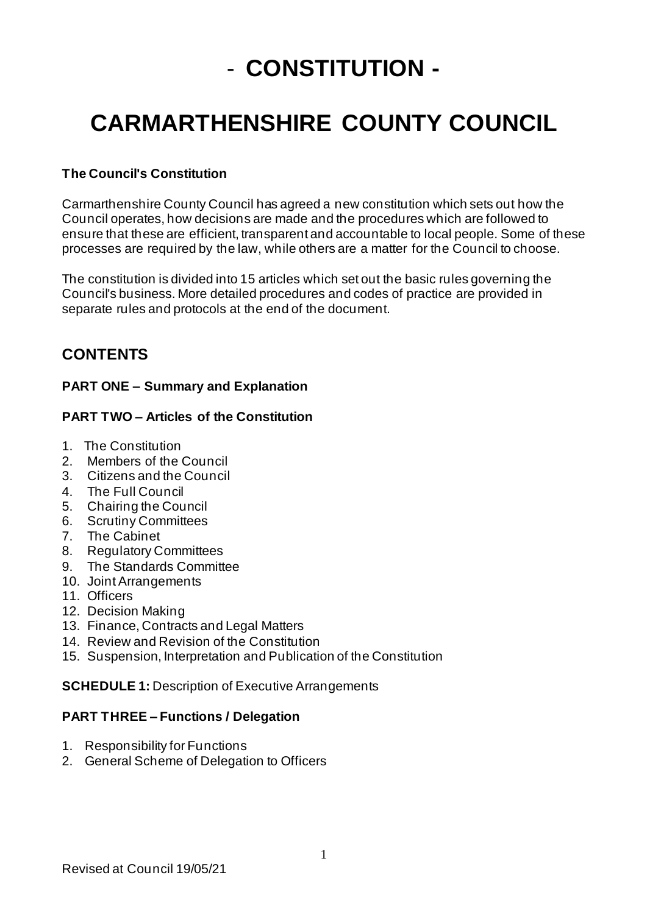# - **CONSTITUTION -**

# **CARMARTHENSHIRE COUNTY COUNCIL**

# **The Council's Constitution**

Carmarthenshire County Council has agreed a new constitution which sets out how the Council operates, how decisions are made and the procedures which are followed to ensure that these are efficient, transparent and accountable to local people. Some of these processes are required by the law, while others are a matter for the Council to choose.

The constitution is divided into 15 articles which set out the basic rules governing the Council's business. More detailed procedures and codes of practice are provided in separate rules and protocols at the end of the document.

# **CONTENTS**

## **PART ONE – Summary and Explanation**

#### **PART TWO – Articles of the Constitution**

- 1. The Constitution
- 2. Members of the Council
- 3. Citizens and the Council
- 4. The Full Council
- 5. Chairing the Council
- 6. Scrutiny Committees
- 7. The Cabinet
- 8. Regulatory Committees
- 9. The Standards Committee
- 10. Joint Arrangements
- 11. Officers
- 12. Decision Making
- 13. Finance, Contracts and Legal Matters
- 14. Review and Revision of the Constitution
- 15. Suspension, Interpretation and Publication of the Constitution

#### **SCHEDULE 1:** Description of Executive Arrangements

## **PART THREE – Functions / Delegation**

- 1. Responsibility for Functions
- 2. General Scheme of Delegation to Officers